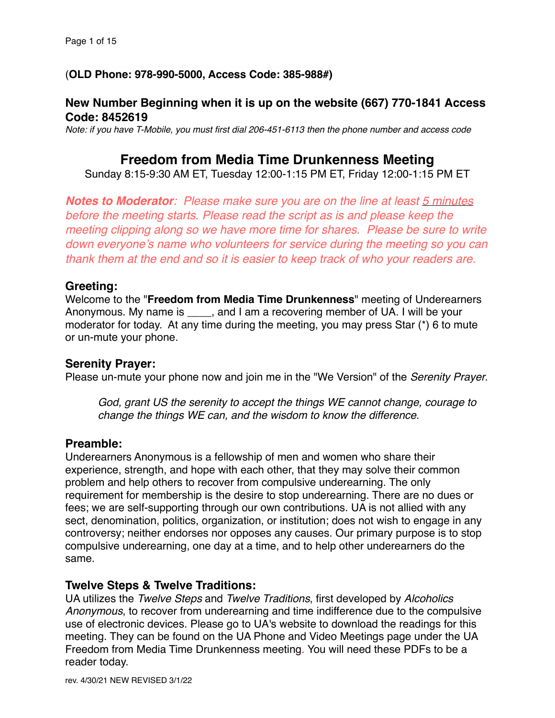# (**OLD Phone: 978-990-5000, Access Code: 385-988#)**

# **New Number Beginning when it is up on the website (667) 770-1841 Access Code: 8452619**

*Note: if you have T-Mobile, you must first dial 206-451-6113 then the phone number and access code*

# **Freedom from Media Time Drunkenness Meeting**

Sunday 8:15-9:30 AM ET, Tuesday 12:00-1:15 PM ET, Friday 12:00-1:15 PM ET

*Notes to Moderator: Please make sure you are on the line at least 5 minutes before the meeting starts*. *Please read the script as is and please keep the meeting clipping along so we have more time for shares. Please be sure to write down everyone's name who volunteers for service during the meeting so you can thank them at the end and so it is easier to keep track of who your readers are.*

## **Greeting:**

Welcome to the "**Freedom from Media Time Drunkenness**" meeting of Underearners Anonymous. My name is \_\_\_\_, and I am a recovering member of UA. I will be your moderator for today. At any time during the meeting, you may press Star (\*) 6 to mute or un-mute your phone.

## **Serenity Prayer:**

Please un-mute your phone now and join me in the "We Version" of the *Serenity Prayer*.

*God, grant US the serenity to accept the things WE cannot change, courage to change the things WE can, and the wisdom to know the difference.*

## **Preamble:**

Underearners Anonymous is a fellowship of men and women who share their experience, strength, and hope with each other, that they may solve their common problem and help others to recover from compulsive underearning. The only requirement for membership is the desire to stop underearning. There are no dues or fees; we are self-supporting through our own contributions. UA is not allied with any sect, denomination, politics, organization, or institution; does not wish to engage in any controversy; neither endorses nor opposes any causes. Our primary purpose is to stop compulsive underearning, one day at a time, and to help other underearners do the same.

## **Twelve Steps & Twelve Traditions:**

UA utilizes the *Twelve Steps* and *Twelve Traditions*, first developed by *Alcoholics Anonymous*, to recover from underearning and time indifference due to the compulsive use of electronic devices. Please go to UA's website to download the readings for this meeting. They can be found on the UA Phone and Video Meetings page under the UA Freedom from Media Time Drunkenness meeting. You will need these PDFs to be a reader today.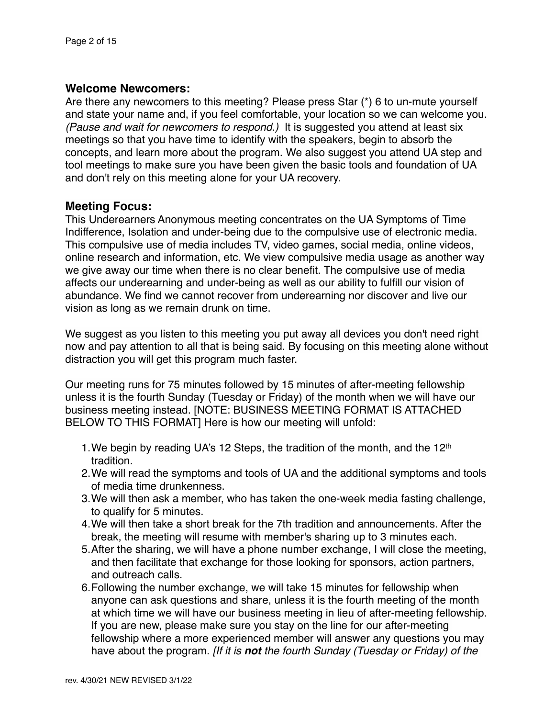# **Welcome Newcomers:**

Are there any newcomers to this meeting? Please press Star (\*) 6 to un-mute yourself and state your name and, if you feel comfortable, your location so we can welcome you. *(Pause and wait for newcomers to respond.)* It is suggested you attend at least six meetings so that you have time to identify with the speakers, begin to absorb the concepts, and learn more about the program. We also suggest you attend UA step and tool meetings to make sure you have been given the basic tools and foundation of UA and don't rely on this meeting alone for your UA recovery.

# **Meeting Focus:**

This Underearners Anonymous meeting concentrates on the UA Symptoms of Time Indifference, Isolation and under-being due to the compulsive use of electronic media. This compulsive use of media includes TV, video games, social media, online videos, online research and information, etc. We view compulsive media usage as another way we give away our time when there is no clear benefit. The compulsive use of media affects our underearning and under-being as well as our ability to fulfill our vision of abundance. We find we cannot recover from underearning nor discover and live our vision as long as we remain drunk on time.

We suggest as you listen to this meeting you put away all devices you don't need right now and pay attention to all that is being said. By focusing on this meeting alone without distraction you will get this program much faster.

Our meeting runs for 75 minutes followed by 15 minutes of after-meeting fellowship unless it is the fourth Sunday (Tuesday or Friday) of the month when we will have our business meeting instead. [NOTE: BUSINESS MEETING FORMAT IS ATTACHED BELOW TO THIS FORMAT] Here is how our meeting will unfold:

- 1. We begin by reading UA's 12 Steps, the tradition of the month, and the 12<sup>th</sup> tradition.
- 2.We will read the symptoms and tools of UA and the additional symptoms and tools of media time drunkenness.
- 3.We will then ask a member, who has taken the one-week media fasting challenge, to qualify for 5 minutes.
- 4.We will then take a short break for the 7th tradition and announcements. After the break, the meeting will resume with member's sharing up to 3 minutes each.
- 5.After the sharing, we will have a phone number exchange, I will close the meeting, and then facilitate that exchange for those looking for sponsors, action partners, and outreach calls.
- 6.Following the number exchange, we will take 15 minutes for fellowship when anyone can ask questions and share, unless it is the fourth meeting of the month at which time we will have our business meeting in lieu of after-meeting fellowship. If you are new, please make sure you stay on the line for our after-meeting fellowship where a more experienced member will answer any questions you may have about the program. *[If it is not the fourth Sunday (Tuesday or Friday) of the*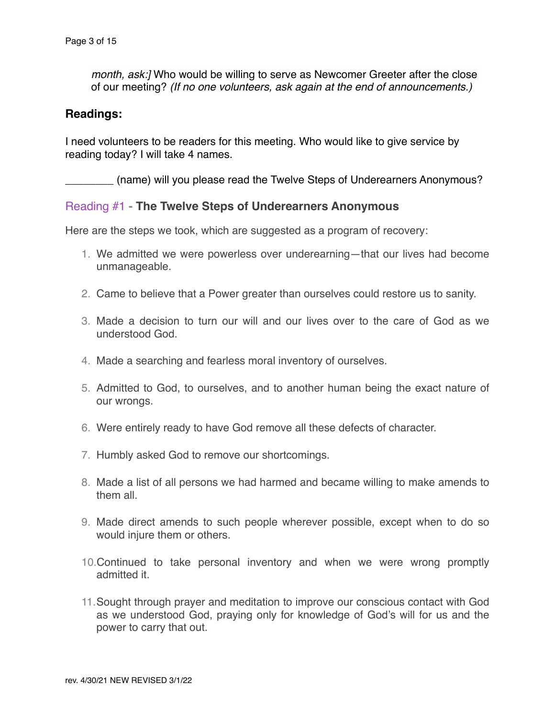*month, ask:]* Who would be willing to serve as Newcomer Greeter after the close of our meeting? *(If no one volunteers, ask again at the end of announcements.)*

#### **Readings:**

I need volunteers to be readers for this meeting. Who would like to give service by reading today? I will take 4 names.

(name) will you please read the Twelve Steps of Underearners Anonymous?

#### Reading #1 **- The Twelve Steps of Underearners Anonymous**

Here are the steps we took, which are suggested as a program of recovery:

- 1. We admitted we were powerless over underearning—that our lives had become unmanageable.
- 2. Came to believe that a Power greater than ourselves could restore us to sanity.
- 3. Made a decision to turn our will and our lives over to the care of God as we understood God.
- 4. Made a searching and fearless moral inventory of ourselves.
- 5. Admitted to God, to ourselves, and to another human being the exact nature of our wrongs.
- 6. Were entirely ready to have God remove all these defects of character.
- 7. Humbly asked God to remove our shortcomings.
- 8. Made a list of all persons we had harmed and became willing to make amends to them all.
- 9. Made direct amends to such people wherever possible, except when to do so would injure them or others.
- 10.Continued to take personal inventory and when we were wrong promptly admitted it.
- 11.Sought through prayer and meditation to improve our conscious contact with God as we understood God, praying only for knowledge of God's will for us and the power to carry that out.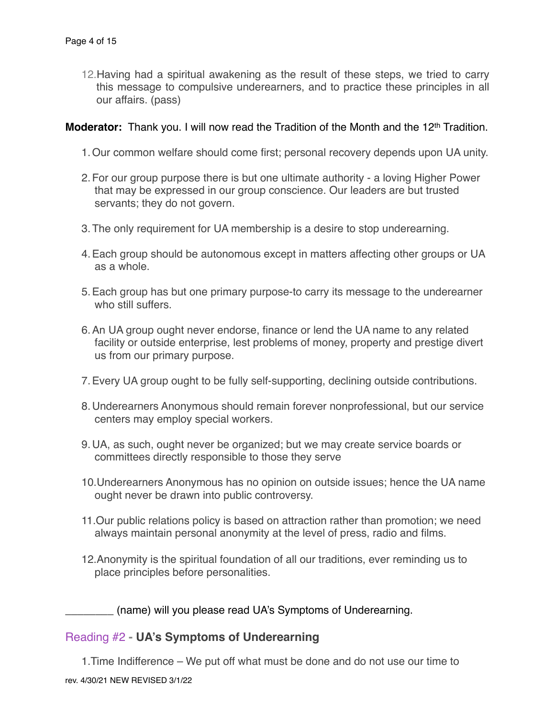12.Having had a spiritual awakening as the result of these steps, we tried to carry this message to compulsive underearners, and to practice these principles in all our affairs. (pass)

#### **Moderator:** Thank you. I will now read the Tradition of the Month and the 12<sup>th</sup> Tradition.

- 1.Our common welfare should come first; personal recovery depends upon UA unity.
- 2.For our group purpose there is but one ultimate authority a loving Higher Power that may be expressed in our group conscience. Our leaders are but trusted servants; they do not govern.
- 3.The only requirement for UA membership is a desire to stop underearning.
- 4.Each group should be autonomous except in matters affecting other groups or UA as a whole.
- 5.Each group has but one primary purpose-to carry its message to the underearner who still suffers.
- 6.An UA group ought never endorse, finance or lend the UA name to any related facility or outside enterprise, lest problems of money, property and prestige divert us from our primary purpose.
- 7.Every UA group ought to be fully self-supporting, declining outside contributions.
- 8.Underearners Anonymous should remain forever nonprofessional, but our service centers may employ special workers.
- 9.UA, as such, ought never be organized; but we may create service boards or committees directly responsible to those they serve
- 10.Underearners Anonymous has no opinion on outside issues; hence the UA name ought never be drawn into public controversy.
- 11.Our public relations policy is based on attraction rather than promotion; we need always maintain personal anonymity at the level of press, radio and films.
- 12.Anonymity is the spiritual foundation of all our traditions, ever reminding us to place principles before personalities.

\_\_\_\_\_\_\_\_ (name) will you please read UA's Symptoms of Underearning.

## Reading #2 **- UA's Symptoms of Underearning**

1.Time Indifference – We put off what must be done and do not use our time to rev. 4/30/21 NEW REVISED 3/1/22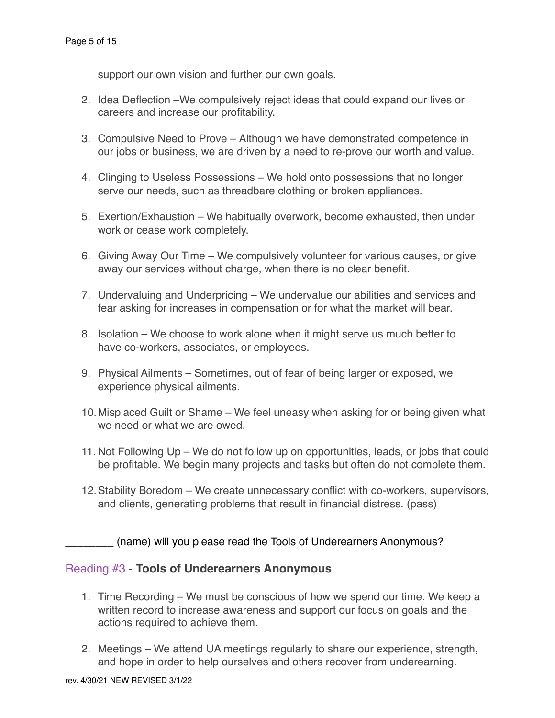support our own vision and further our own goals.

- 2. Idea Deflection –We compulsively reject ideas that could expand our lives or careers and increase our profitability.
- 3. Compulsive Need to Prove Although we have demonstrated competence in our jobs or business, we are driven by a need to re-prove our worth and value.
- 4. Clinging to Useless Possessions We hold onto possessions that no longer serve our needs, such as threadbare clothing or broken appliances.
- 5. Exertion/Exhaustion We habitually overwork, become exhausted, then under work or cease work completely.
- 6. Giving Away Our Time We compulsively volunteer for various causes, or give away our services without charge, when there is no clear benefit.
- 7. Undervaluing and Underpricing We undervalue our abilities and services and fear asking for increases in compensation or for what the market will bear.
- 8. Isolation We choose to work alone when it might serve us much better to have co-workers, associates, or employees.
- 9. Physical Ailments Sometimes, out of fear of being larger or exposed, we experience physical ailments.
- 10.Misplaced Guilt or Shame We feel uneasy when asking for or being given what we need or what we are owed.
- 11. Not Following Up We do not follow up on opportunities, leads, or jobs that could be profitable. We begin many projects and tasks but often do not complete them.
- 12.Stability Boredom We create unnecessary conflict with co-workers, supervisors, and clients, generating problems that result in financial distress. (pass)

\_\_\_\_\_\_\_\_ (name) will you please read the Tools of Underearners Anonymous?

# Reading #3 - **Tools of Underearners Anonymous**

- 1. Time Recording We must be conscious of how we spend our time. We keep a written record to increase awareness and support our focus on goals and the actions required to achieve them.
- 2. Meetings We attend UA meetings regularly to share our experience, strength, and hope in order to help ourselves and others recover from underearning.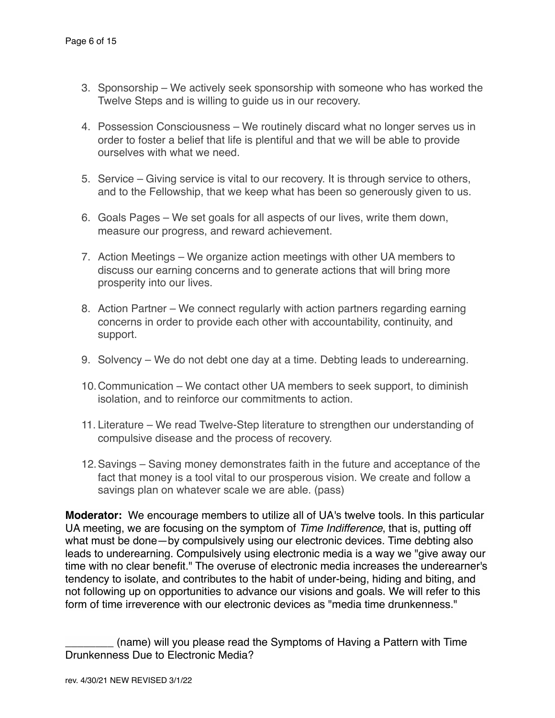- 3. Sponsorship We actively seek sponsorship with someone who has worked the Twelve Steps and is willing to guide us in our recovery.
- 4. Possession Consciousness We routinely discard what no longer serves us in order to foster a belief that life is plentiful and that we will be able to provide ourselves with what we need.
- 5. Service Giving service is vital to our recovery. It is through service to others, and to the Fellowship, that we keep what has been so generously given to us.
- 6. Goals Pages We set goals for all aspects of our lives, write them down, measure our progress, and reward achievement.
- 7. Action Meetings We organize action meetings with other UA members to discuss our earning concerns and to generate actions that will bring more prosperity into our lives.
- 8. Action Partner We connect regularly with action partners regarding earning concerns in order to provide each other with accountability, continuity, and support.
- 9. Solvency We do not debt one day at a time. Debting leads to underearning.
- 10.Communication We contact other UA members to seek support, to diminish isolation, and to reinforce our commitments to action.
- 11. Literature We read Twelve-Step literature to strengthen our understanding of compulsive disease and the process of recovery.
- 12.Savings Saving money demonstrates faith in the future and acceptance of the fact that money is a tool vital to our prosperous vision. We create and follow a savings plan on whatever scale we are able. (pass)

**Moderator:** We encourage members to utilize all of UA's twelve tools. In this particular UA meeting, we are focusing on the symptom of *Time Indifference*, that is, putting off what must be done—by compulsively using our electronic devices. Time debting also leads to underearning. Compulsively using electronic media is a way we "give away our time with no clear benefit." The overuse of electronic media increases the underearner's tendency to isolate, and contributes to the habit of under-being, hiding and biting, and not following up on opportunities to advance our visions and goals. We will refer to this form of time irreverence with our electronic devices as "media time drunkenness."

\_\_\_\_\_\_\_\_ (name) will you please read the Symptoms of Having a Pattern with Time Drunkenness Due to Electronic Media?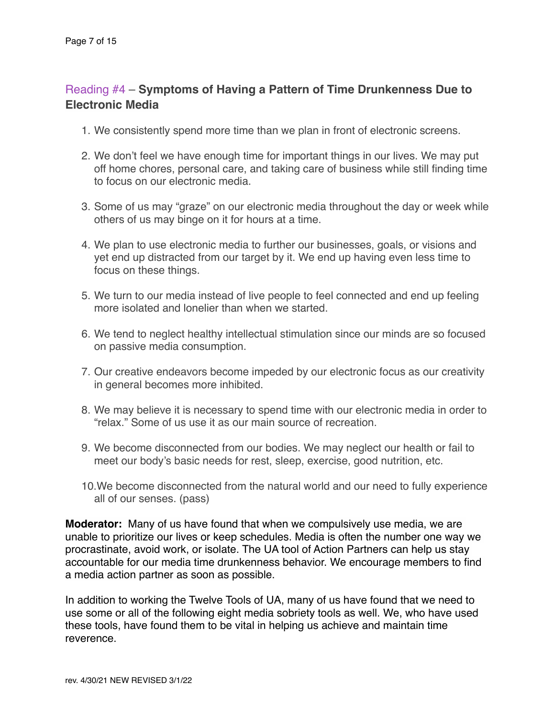# Reading #4 – **Symptoms of Having a Pattern of Time Drunkenness Due to Electronic Media**

- 1. We consistently spend more time than we plan in front of electronic screens.
- 2. We don't feel we have enough time for important things in our lives. We may put off home chores, personal care, and taking care of business while still finding time to focus on our electronic media.
- 3. Some of us may "graze" on our electronic media throughout the day or week while others of us may binge on it for hours at a time.
- 4. We plan to use electronic media to further our businesses, goals, or visions and yet end up distracted from our target by it. We end up having even less time to focus on these things.
- 5. We turn to our media instead of live people to feel connected and end up feeling more isolated and lonelier than when we started.
- 6. We tend to neglect healthy intellectual stimulation since our minds are so focused on passive media consumption.
- 7. Our creative endeavors become impeded by our electronic focus as our creativity in general becomes more inhibited.
- 8. We may believe it is necessary to spend time with our electronic media in order to "relax." Some of us use it as our main source of recreation.
- 9. We become disconnected from our bodies. We may neglect our health or fail to meet our body's basic needs for rest, sleep, exercise, good nutrition, etc.
- 10.We become disconnected from the natural world and our need to fully experience all of our senses. (pass)

**Moderator:** Many of us have found that when we compulsively use media, we are unable to prioritize our lives or keep schedules. Media is often the number one way we procrastinate, avoid work, or isolate. The UA tool of Action Partners can help us stay accountable for our media time drunkenness behavior. We encourage members to find a media action partner as soon as possible.

In addition to working the Twelve Tools of UA, many of us have found that we need to use some or all of the following eight media sobriety tools as well. We, who have used these tools, have found them to be vital in helping us achieve and maintain time reverence.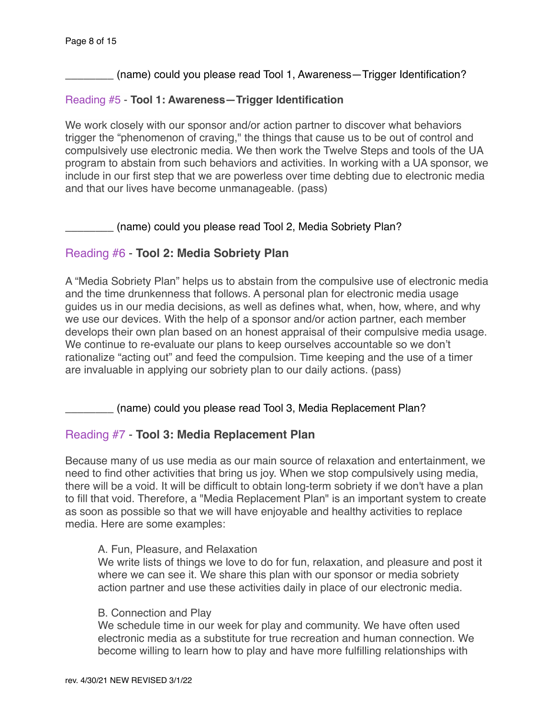\_\_\_\_\_\_\_\_ (name) could you please read Tool 1, Awareness—Trigger Identification?

#### Reading #5 - **Tool 1: Awareness—Trigger Identification**

We work closely with our sponsor and/or action partner to discover what behaviors trigger the "phenomenon of craving," the things that cause us to be out of control and compulsively use electronic media. We then work the Twelve Steps and tools of the UA program to abstain from such behaviors and activities. In working with a UA sponsor, we include in our first step that we are powerless over time debting due to electronic media and that our lives have become unmanageable. (pass)

\_\_\_\_\_\_\_\_ (name) could you please read Tool 2, Media Sobriety Plan?

# Reading #6 - **Tool 2: Media Sobriety Plan**

A "Media Sobriety Plan" helps us to abstain from the compulsive use of electronic media and the time drunkenness that follows. A personal plan for electronic media usage guides us in our media decisions, as well as defines what, when, how, where, and why we use our devices. With the help of a sponsor and/or action partner, each member develops their own plan based on an honest appraisal of their compulsive media usage. We continue to re-evaluate our plans to keep ourselves accountable so we don't rationalize "acting out" and feed the compulsion. Time keeping and the use of a timer are invaluable in applying our sobriety plan to our daily actions. (pass)

\_\_\_\_\_\_\_\_ (name) could you please read Tool 3, Media Replacement Plan?

## Reading #7 - **Tool 3: Media Replacement Plan**

Because many of us use media as our main source of relaxation and entertainment, we need to find other activities that bring us joy. When we stop compulsively using media, there will be a void. It will be difficult to obtain long-term sobriety if we don't have a plan to fill that void. Therefore, a "Media Replacement Plan" is an important system to create as soon as possible so that we will have enjoyable and healthy activities to replace media. Here are some examples:

#### A. Fun, Pleasure, and Relaxation

We write lists of things we love to do for fun, relaxation, and pleasure and post it where we can see it. We share this plan with our sponsor or media sobriety action partner and use these activities daily in place of our electronic media.

#### B. Connection and Play

We schedule time in our week for play and community. We have often used electronic media as a substitute for true recreation and human connection. We become willing to learn how to play and have more fulfilling relationships with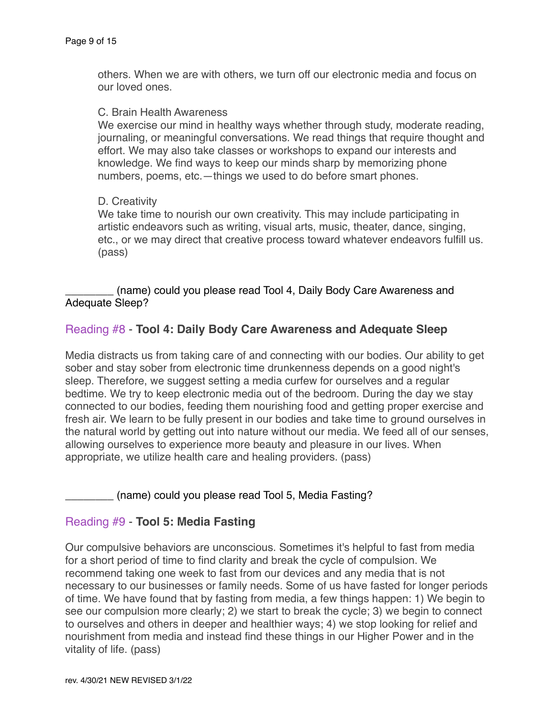others. When we are with others, we turn off our electronic media and focus on our loved ones.

#### C. Brain Health Awareness

We exercise our mind in healthy ways whether through study, moderate reading, journaling, or meaningful conversations. We read things that require thought and effort. We may also take classes or workshops to expand our interests and knowledge. We find ways to keep our minds sharp by memorizing phone numbers, poems, etc.—things we used to do before smart phones.

#### D. Creativity

We take time to nourish our own creativity. This may include participating in artistic endeavors such as writing, visual arts, music, theater, dance, singing, etc., or we may direct that creative process toward whatever endeavors fulfill us. (pass)

(name) could you please read Tool 4, Daily Body Care Awareness and Adequate Sleep?

## Reading #8 - **Tool 4: Daily Body Care Awareness and Adequate Sleep**

Media distracts us from taking care of and connecting with our bodies. Our ability to get sober and stay sober from electronic time drunkenness depends on a good night's sleep. Therefore, we suggest setting a media curfew for ourselves and a regular bedtime. We try to keep electronic media out of the bedroom. During the day we stay connected to our bodies, feeding them nourishing food and getting proper exercise and fresh air. We learn to be fully present in our bodies and take time to ground ourselves in the natural world by getting out into nature without our media. We feed all of our senses, allowing ourselves to experience more beauty and pleasure in our lives. When appropriate, we utilize health care and healing providers. (pass)

\_\_\_\_\_\_\_\_ (name) could you please read Tool 5, Media Fasting?

## Reading #9 - **Tool 5: Media Fasting**

Our compulsive behaviors are unconscious. Sometimes it's helpful to fast from media for a short period of time to find clarity and break the cycle of compulsion. We recommend taking one week to fast from our devices and any media that is not necessary to our businesses or family needs. Some of us have fasted for longer periods of time. We have found that by fasting from media, a few things happen: 1) We begin to see our compulsion more clearly; 2) we start to break the cycle; 3) we begin to connect to ourselves and others in deeper and healthier ways; 4) we stop looking for relief and nourishment from media and instead find these things in our Higher Power and in the vitality of life. (pass)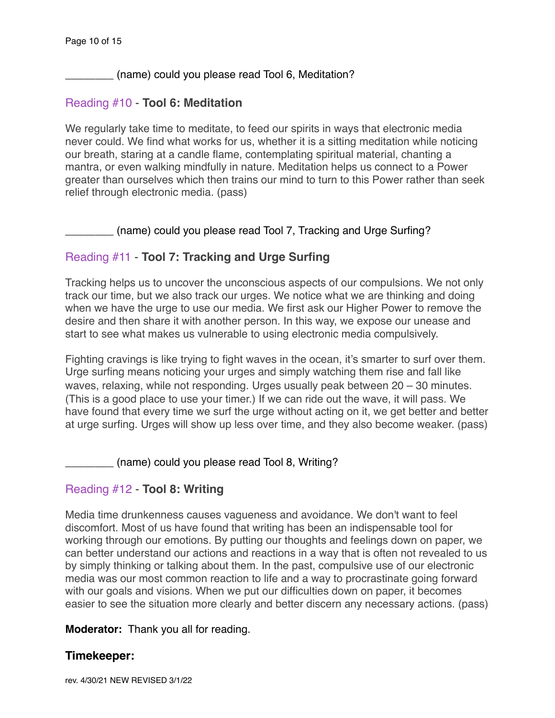\_\_\_\_\_\_\_\_ (name) could you please read Tool 6, Meditation?

## Reading #10 - **Tool 6: Meditation**

We regularly take time to meditate, to feed our spirits in ways that electronic media never could. We find what works for us, whether it is a sitting meditation while noticing our breath, staring at a candle flame, contemplating spiritual material, chanting a mantra, or even walking mindfully in nature. Meditation helps us connect to a Power greater than ourselves which then trains our mind to turn to this Power rather than seek relief through electronic media. (pass)

(name) could you please read Tool 7, Tracking and Urge Surfing?

# Reading #11 - **Tool 7: Tracking and Urge Surfing**

Tracking helps us to uncover the unconscious aspects of our compulsions. We not only track our time, but we also track our urges. We notice what we are thinking and doing when we have the urge to use our media. We first ask our Higher Power to remove the desire and then share it with another person. In this way, we expose our unease and start to see what makes us vulnerable to using electronic media compulsively.

Fighting cravings is like trying to fight waves in the ocean, it's smarter to surf over them. Urge surfing means noticing your urges and simply watching them rise and fall like waves, relaxing, while not responding. Urges usually peak between 20 – 30 minutes. (This is a good place to use your timer.) If we can ride out the wave, it will pass. We have found that every time we surf the urge without acting on it, we get better and better at urge surfing. Urges will show up less over time, and they also become weaker. (pass)

(name) could you please read Tool 8, Writing?

# Reading #12 - **Tool 8: Writing**

Media time drunkenness causes vagueness and avoidance. We don't want to feel discomfort. Most of us have found that writing has been an indispensable tool for working through our emotions. By putting our thoughts and feelings down on paper, we can better understand our actions and reactions in a way that is often not revealed to us by simply thinking or talking about them. In the past, compulsive use of our electronic media was our most common reaction to life and a way to procrastinate going forward with our goals and visions. When we put our difficulties down on paper, it becomes easier to see the situation more clearly and better discern any necessary actions. (pass)

**Moderator:** Thank you all for reading.

## **Timekeeper:**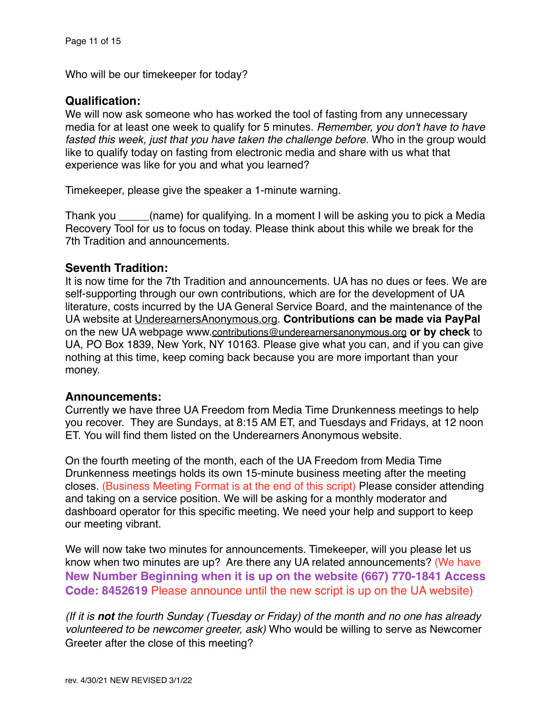Who will be our timekeeper for today?

# **Qualification:**

We will now ask someone who has worked the tool of fasting from any unnecessary media for at least one week to qualify for 5 minutes. *Remember, you don't have to have fasted this week, just that you have taken the challenge before.* Who in the group would like to qualify today on fasting from electronic media and share with us what that experience was like for you and what you learned?

Timekeeper, please give the speaker a 1-minute warning.

Thank you \_\_\_\_\_(name) for qualifying. In a moment I will be asking you to pick a Media Recovery Tool for us to focus on today. Please think about this while we break for the 7th Tradition and announcements.

## **Seventh Tradition:**

It is now time for the 7th Tradition and announcements. UA has no dues or fees. We are self-supporting through our own contributions, which are for the development of UA literature, costs incurred by the UA General Service Board, and the maintenance of the UA website at [UnderearnersAnonymous.org](http://UnderearnersAnonymous.org). **Contributions can be made via PayPal** on the new UA webpage www[.contributions@underearnersanonymous.org](mailto:contributions@underearnersanonymous.org) **or by check** to UA, PO Box 1839, New York, NY 10163. Please give what you can, and if you can give nothing at this time, keep coming back because you are more important than your money.

## **Announcements:**

Currently we have three UA Freedom from Media Time Drunkenness meetings to help you recover. They are Sundays, at 8:15 AM ET, and Tuesdays and Fridays, at 12 noon ET. You will find them listed on the Underearners Anonymous website.

On the fourth meeting of the month, each of the UA Freedom from Media Time Drunkenness meetings holds its own 15-minute business meeting after the meeting closes. (Business Meeting Format is at the end of this script) Please consider attending and taking on a service position. We will be asking for a monthly moderator and dashboard operator for this specific meeting. We need your help and support to keep our meeting vibrant.

We will now take two minutes for announcements. Timekeeper, will you please let us know when two minutes are up? Are there any UA related announcements? (We have **New Number Beginning when it is up on the website (667) 770-1841 Access Code: 8452619** Please announce until the new script is up on the UA website)

*(If it is not the fourth Sunday (Tuesday or Friday) of the month and no one has already volunteered to be newcomer greeter, ask)* Who would be willing to serve as Newcomer Greeter after the close of this meeting?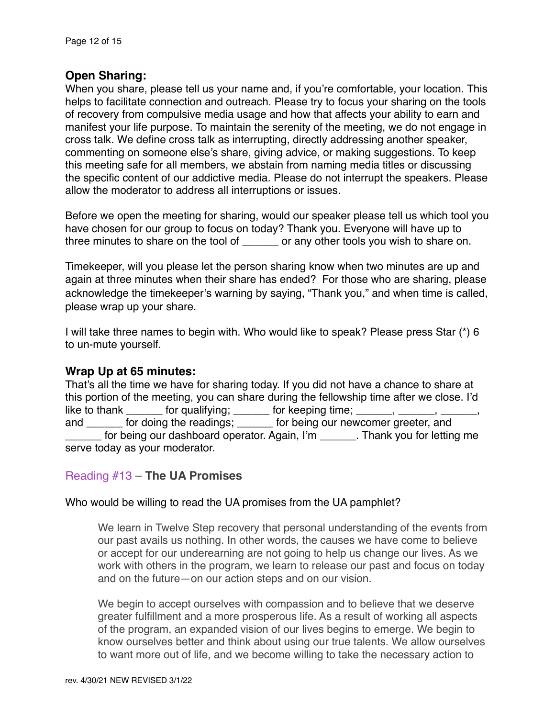## **Open Sharing:**

When you share, please tell us your name and, if you're comfortable, your location. This helps to facilitate connection and outreach. Please try to focus your sharing on the tools of recovery from compulsive media usage and how that affects your ability to earn and manifest your life purpose. To maintain the serenity of the meeting, we do not engage in cross talk. We define cross talk as interrupting, directly addressing another speaker, commenting on someone else's share, giving advice, or making suggestions. To keep this meeting safe for all members, we abstain from naming media titles or discussing the specific content of our addictive media. Please do not interrupt the speakers. Please allow the moderator to address all interruptions or issues.

Before we open the meeting for sharing, would our speaker please tell us which tool you have chosen for our group to focus on today? Thank you. Everyone will have up to three minutes to share on the tool of \_\_\_\_\_\_ or any other tools you wish to share on.

Timekeeper, will you please let the person sharing know when two minutes are up and again at three minutes when their share has ended? For those who are sharing, please acknowledge the timekeeper's warning by saying, "Thank you," and when time is called, please wrap up your share.

I will take three names to begin with. Who would like to speak? Please press Star (\*) 6 to un-mute yourself.

## **Wrap Up at 65 minutes:**

That's all the time we have for sharing today. If you did not have a chance to share at this portion of the meeting, you can share during the fellowship time after we close. I'd like to thank \_\_\_\_\_\_\_ for qualifying; \_\_\_\_\_\_ for keeping time; \_\_\_\_\_\_, \_\_\_\_ and \_\_\_\_\_\_ for doing the readings; \_\_\_\_\_\_ for being our newcomer greeter, and for being our dashboard operator. Again, I'm \_\_\_\_\_\_. Thank you for letting me serve today as your moderator.

## Reading #13 **– The UA Promises**

#### Who would be willing to read the UA promises from the UA pamphlet?

We learn in Twelve Step recovery that personal understanding of the events from our past avails us nothing. In other words, the causes we have come to believe or accept for our underearning are not going to help us change our lives. As we work with others in the program, we learn to release our past and focus on today and on the future—on our action steps and on our vision.

We begin to accept ourselves with compassion and to believe that we deserve greater fulfillment and a more prosperous life. As a result of working all aspects of the program, an expanded vision of our lives begins to emerge. We begin to know ourselves better and think about using our true talents. We allow ourselves to want more out of life, and we become willing to take the necessary action to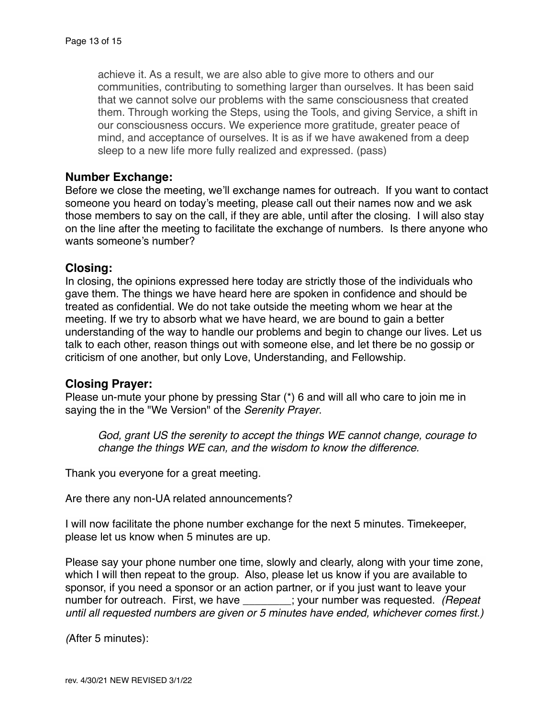achieve it. As a result, we are also able to give more to others and our communities, contributing to something larger than ourselves. It has been said that we cannot solve our problems with the same consciousness that created them. Through working the Steps, using the Tools, and giving Service, a shift in our consciousness occurs. We experience more gratitude, greater peace of mind, and acceptance of ourselves. It is as if we have awakened from a deep sleep to a new life more fully realized and expressed. (pass)

#### **Number Exchange:**

Before we close the meeting, we'll exchange names for outreach. If you want to contact someone you heard on today's meeting, please call out their names now and we ask those members to say on the call, if they are able, until after the closing. I will also stay on the line after the meeting to facilitate the exchange of numbers. Is there anyone who wants someone's number?

#### **Closing:**

In closing, the opinions expressed here today are strictly those of the individuals who gave them. The things we have heard here are spoken in confidence and should be treated as confidential. We do not take outside the meeting whom we hear at the meeting. If we try to absorb what we have heard, we are bound to gain a better understanding of the way to handle our problems and begin to change our lives. Let us talk to each other, reason things out with someone else, and let there be no gossip or criticism of one another, but only Love, Understanding, and Fellowship.

## **Closing Prayer:**

Please un-mute your phone by pressing Star (\*) 6 and will all who care to join me in saying the in the "We Version" of the *Serenity Prayer*.

*God, grant US the serenity to accept the things WE cannot change, courage to change the things WE can, and the wisdom to know the difference.*

Thank you everyone for a great meeting.

Are there any non-UA related announcements?

I will now facilitate the phone number exchange for the next 5 minutes. Timekeeper, please let us know when 5 minutes are up.

Please say your phone number one time, slowly and clearly, along with your time zone, which I will then repeat to the group. Also, please let us know if you are available to sponsor, if you need a sponsor or an action partner, or if you just want to leave your number for outreach. First, we have \_\_\_\_\_\_\_\_; your number was requested. *(Repeat until all requested numbers are given or 5 minutes have ended, whichever comes first.)*

*(*After 5 minutes):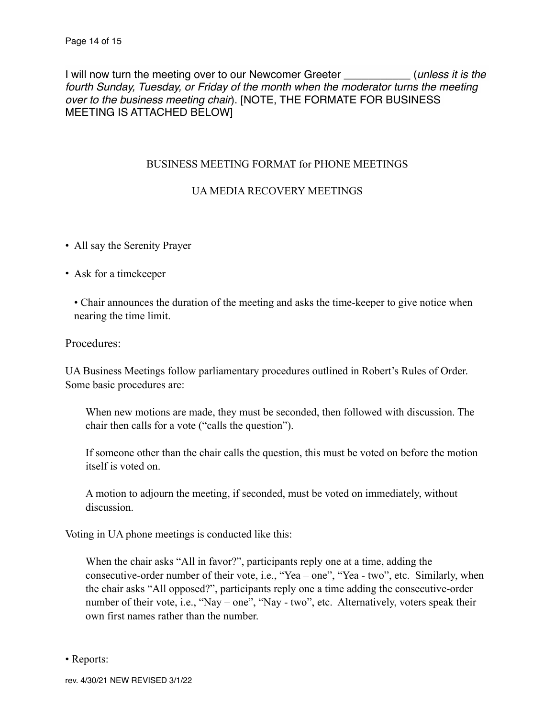I will now turn the meeting over to our Newcomer Greeter \_\_\_\_\_\_\_\_\_\_\_ (*unless it is the fourth Sunday, Tuesday, or Friday of the month when the moderator turns the meeting over to the business meeting chair*). [NOTE, THE FORMATE FOR BUSINESS MEETING IS ATTACHED BELOW]

#### BUSINESS MEETING FORMAT for PHONE MEETINGS

## UA MEDIA RECOVERY MEETINGS

- All say the Serenity Prayer
- Ask for a timekeeper

• Chair announces the duration of the meeting and asks the time-keeper to give notice when nearing the time limit.

#### Procedures:

UA Business Meetings follow parliamentary procedures outlined in Robert's Rules of Order. Some basic procedures are:

When new motions are made, they must be seconded, then followed with discussion. The chair then calls for a vote ("calls the question").

 If someone other than the chair calls the question, this must be voted on before the motion itself is voted on.

 A motion to adjourn the meeting, if seconded, must be voted on immediately, without discussion.

Voting in UA phone meetings is conducted like this:

 When the chair asks "All in favor?", participants reply one at a time, adding the consecutive-order number of their vote, i.e., "Yea – one", "Yea - two", etc. Similarly, when the chair asks "All opposed?", participants reply one a time adding the consecutive-order number of their vote, i.e., "Nay – one", "Nay - two", etc. Alternatively, voters speak their own first names rather than the number.

• Reports: